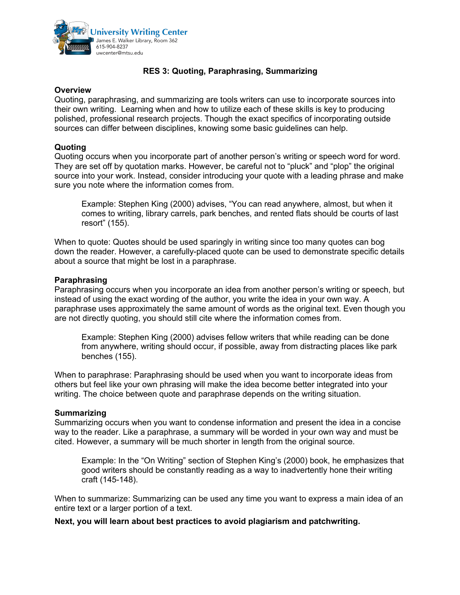

# **RES 3: Quoting, Paraphrasing, Summarizing**

### **Overview**

Quoting, paraphrasing, and summarizing are tools writers can use to incorporate sources into their own writing. Learning when and how to utilize each of these skills is key to producing polished, professional research projects. Though the exact specifics of incorporating outside sources can differ between disciplines, knowing some basic guidelines can help.

# **Quoting**

Quoting occurs when you incorporate part of another person's writing or speech word for word. They are set off by quotation marks. However, be careful not to "pluck" and "plop" the original source into your work. Instead, consider introducing your quote with a leading phrase and make sure you note where the information comes from.

Example: Stephen King (2000) advises, "You can read anywhere, almost, but when it comes to writing, library carrels, park benches, and rented flats should be courts of last resort" (155).

When to quote: Quotes should be used sparingly in writing since too many quotes can bog down the reader. However, a carefully-placed quote can be used to demonstrate specific details about a source that might be lost in a paraphrase.

## **Paraphrasing**

Paraphrasing occurs when you incorporate an idea from another person's writing or speech, but instead of using the exact wording of the author, you write the idea in your own way. A paraphrase uses approximately the same amount of words as the original text. Even though you are not directly quoting, you should still cite where the information comes from.

Example: Stephen King (2000) advises fellow writers that while reading can be done from anywhere, writing should occur, if possible, away from distracting places like park benches (155).

When to paraphrase: Paraphrasing should be used when you want to incorporate ideas from others but feel like your own phrasing will make the idea become better integrated into your writing. The choice between quote and paraphrase depends on the writing situation.

### **Summarizing**

Summarizing occurs when you want to condense information and present the idea in a concise way to the reader. Like a paraphrase, a summary will be worded in your own way and must be cited. However, a summary will be much shorter in length from the original source.

Example: In the "On Writing" section of Stephen King's (2000) book, he emphasizes that good writers should be constantly reading as a way to inadvertently hone their writing craft (145-148).

When to summarize: Summarizing can be used any time you want to express a main idea of an entire text or a larger portion of a text.

**Next, you will learn about best practices to avoid plagiarism and patchwriting.**